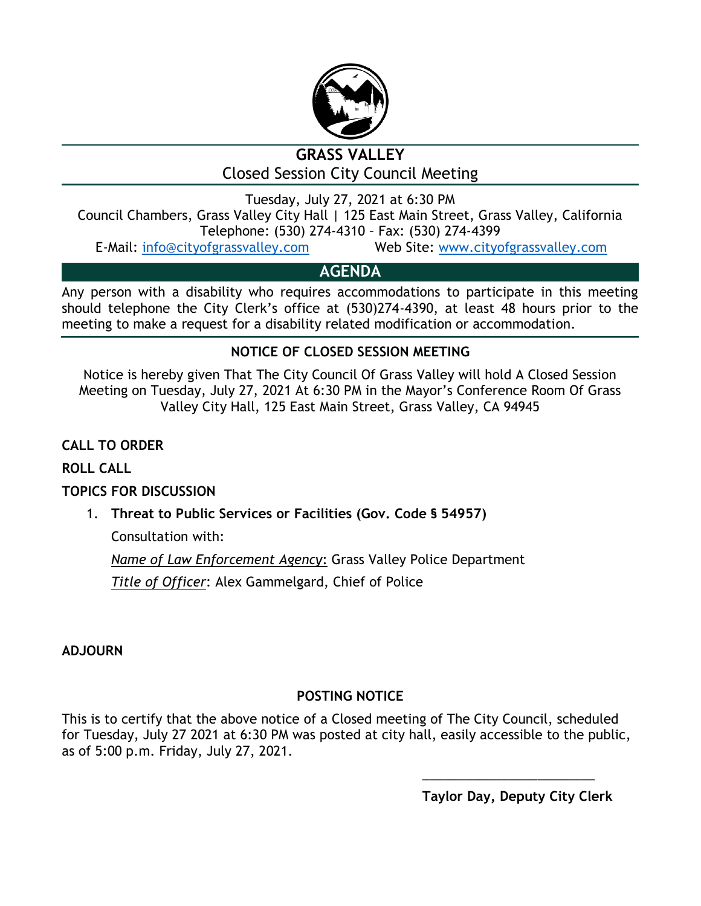

# **GRASS VALLEY** Closed Session City Council Meeting

Tuesday, July 27, 2021 at 6:30 PM Council Chambers, Grass Valley City Hall | 125 East Main Street, Grass Valley, California Telephone: (530) 274-4310 – Fax: (530) 274-4399

E-Mail: [info@cityofgrassvalley.com](mailto:info@cityofgrassvalley.com) Web Site: [www.cityofgrassvalley.com](http://www.cityofgrassvalley.com/)

# **AGENDA**

Any person with a disability who requires accommodations to participate in this meeting should telephone the City Clerk's office at (530)274-4390, at least 48 hours prior to the meeting to make a request for a disability related modification or accommodation.

## **NOTICE OF CLOSED SESSION MEETING**

Notice is hereby given That The City Council Of Grass Valley will hold A Closed Session Meeting on Tuesday, July 27, 2021 At 6:30 PM in the Mayor's Conference Room Of Grass Valley City Hall, 125 East Main Street, Grass Valley, CA 94945

**CALL TO ORDER**

**ROLL CALL**

## **TOPICS FOR DISCUSSION**

1. **Threat to Public Services or Facilities (Gov. Code § 54957)**

Consultation with:

*Name of Law Enforcement Agency*: Grass Valley Police Department

*Title of Officer*: Alex Gammelgard, Chief of Police

**ADJOURN**

# **POSTING NOTICE**

This is to certify that the above notice of a Closed meeting of The City Council, scheduled for Tuesday, July 27 2021 at 6:30 PM was posted at city hall, easily accessible to the public, as of 5:00 p.m. Friday, July 27, 2021.

**Taylor Day, Deputy City Clerk**

\_\_\_\_\_\_\_\_\_\_\_\_\_\_\_\_\_\_\_\_\_\_\_\_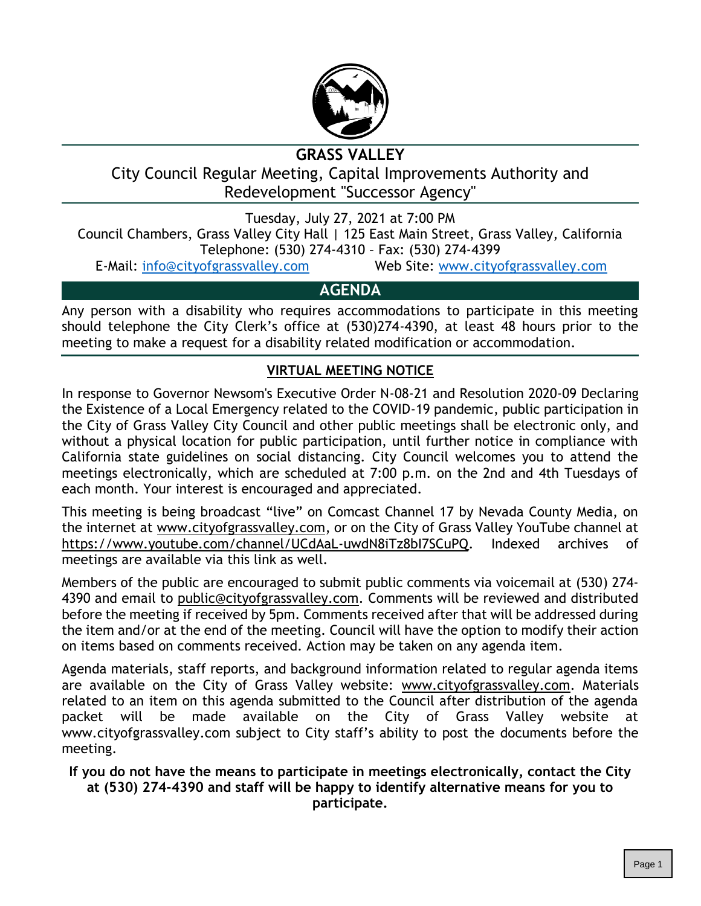

# **GRASS VALLEY**

City Council Regular Meeting, Capital Improvements Authority and Redevelopment "Successor Agency"

Tuesday, July 27, 2021 at 7:00 PM Council Chambers, Grass Valley City Hall | 125 East Main Street, Grass Valley, California Telephone: (530) 274-4310 – Fax: (530) 274-4399

E-Mail: [info@cityofgrassvalley.com](mailto:info@cityofgrassvalley.com) Web Site: [www.cityofgrassvalley.com](http://www.cityofgrassvalley.com/)

## **AGENDA**

Any person with a disability who requires accommodations to participate in this meeting should telephone the City Clerk's office at (530)274-4390, at least 48 hours prior to the meeting to make a request for a disability related modification or accommodation.

## **VIRTUAL MEETING NOTICE**

In response to Governor Newsom's Executive Order N-08-21 and Resolution 2020-09 Declaring the Existence of a Local Emergency related to the COVID-19 pandemic, public participation in the City of Grass Valley City Council and other public meetings shall be electronic only, and without a physical location for public participation, until further notice in compliance with California state guidelines on social distancing. City Council welcomes you to attend the meetings electronically, which are scheduled at 7:00 p.m. on the 2nd and 4th Tuesdays of each month. Your interest is encouraged and appreciated.

This meeting is being broadcast "live" on Comcast Channel 17 by Nevada County Media, on the internet at www.cityofgrassvalley.com, or on the City of Grass Valley YouTube channel at https://www.youtube.com/channel/UCdAaL-uwdN8iTz8bI7SCuPQ. Indexed archives of meetings are available via this link as well.

Members of the public are encouraged to submit public comments via voicemail at (530) 274- 4390 and email to public@cityofgrassvalley.com. Comments will be reviewed and distributed before the meeting if received by 5pm. Comments received after that will be addressed during the item and/or at the end of the meeting. Council will have the option to modify their action on items based on comments received. Action may be taken on any agenda item.

Agenda materials, staff reports, and background information related to regular agenda items are available on the City of Grass Valley website: www.cityofgrassvalley.com. Materials related to an item on this agenda submitted to the Council after distribution of the agenda packet will be made available on the City of Grass Valley website at www.cityofgrassvalley.com subject to City staff's ability to post the documents before the meeting.

**If you do not have the means to participate in meetings electronically, contact the City at (530) 274-4390 and staff will be happy to identify alternative means for you to participate.**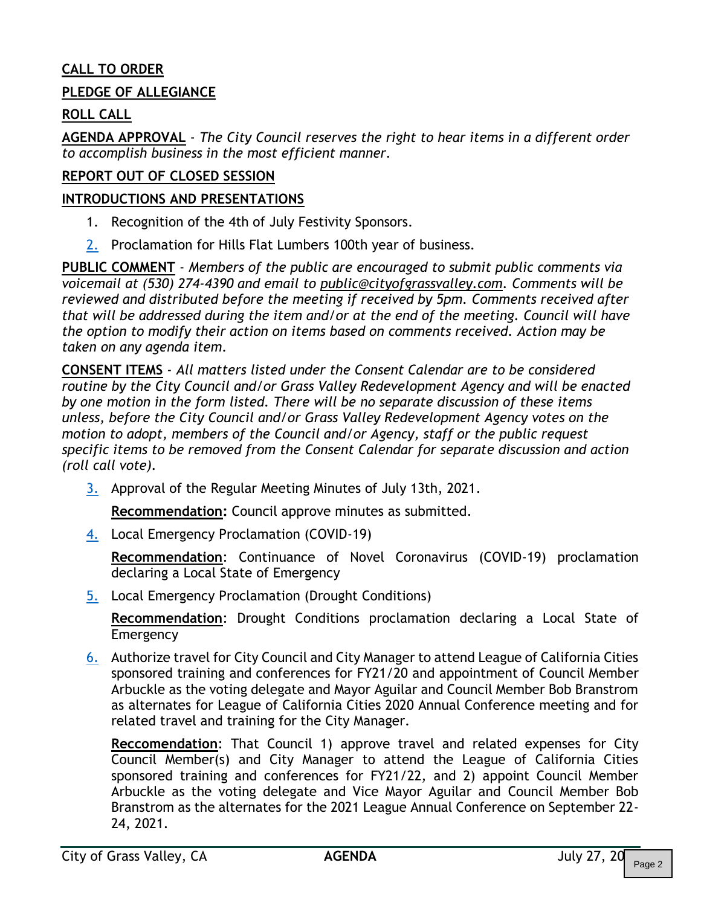### **CALL TO ORDER**

#### **PLEDGE OF ALLEGIANCE**

### **ROLL CALL**

**AGENDA APPROVAL** - *The City Council reserves the right to hear items in a different order to accomplish business in the most efficient manner.*

#### **REPORT OUT OF CLOSED SESSION**

#### **INTRODUCTIONS AND PRESENTATIONS**

- 1. Recognition of the 4th of July Festivity Sponsors.
- [2.](#page--1-0) Proclamation for Hills Flat Lumbers 100th year of business.

**PUBLIC COMMENT** - *Members of the public are encouraged to submit public comments via voicemail at (530) 274-4390 and email to public@cityofgrassvalley.com. Comments will be reviewed and distributed before the meeting if received by 5pm. Comments received after that will be addressed during the item and/or at the end of the meeting. Council will have the option to modify their action on items based on comments received. Action may be taken on any agenda item.*

**CONSENT ITEMS** - *All matters listed under the Consent Calendar are to be considered routine by the City Council and/or Grass Valley Redevelopment Agency and will be enacted by one motion in the form listed. There will be no separate discussion of these items unless, before the City Council and/or Grass Valley Redevelopment Agency votes on the motion to adopt, members of the Council and/or Agency, staff or the public request specific items to be removed from the Consent Calendar for separate discussion and action (roll call vote).*

[3.](#page--1-0) Approval of the Regular Meeting Minutes of July 13th, 2021.

**Recommendation:** Council approve minutes as submitted.

[4.](#page--1-0) Local Emergency Proclamation (COVID-19)

**Recommendation**: Continuance of Novel Coronavirus (COVID-19) proclamation declaring a Local State of Emergency

[5.](#page--1-0) Local Emergency Proclamation (Drought Conditions)

**Recommendation**: Drought Conditions proclamation declaring a Local State of Emergency

[6.](#page--1-0) Authorize travel for City Council and City Manager to attend League of California Cities sponsored training and conferences for FY21/20 and appointment of Council Member Arbuckle as the voting delegate and Mayor Aguilar and Council Member Bob Branstrom as alternates for League of California Cities 2020 Annual Conference meeting and for related travel and training for the City Manager.

**Reccomendation**: That Council 1) approve travel and related expenses for City Council Member(s) and City Manager to attend the League of California Cities sponsored training and conferences for FY21/22, and 2) appoint Council Member Arbuckle as the voting delegate and Vice Mayor Aguilar and Council Member Bob Branstrom as the alternates for the 2021 League Annual Conference on September 22- 24, 2021.